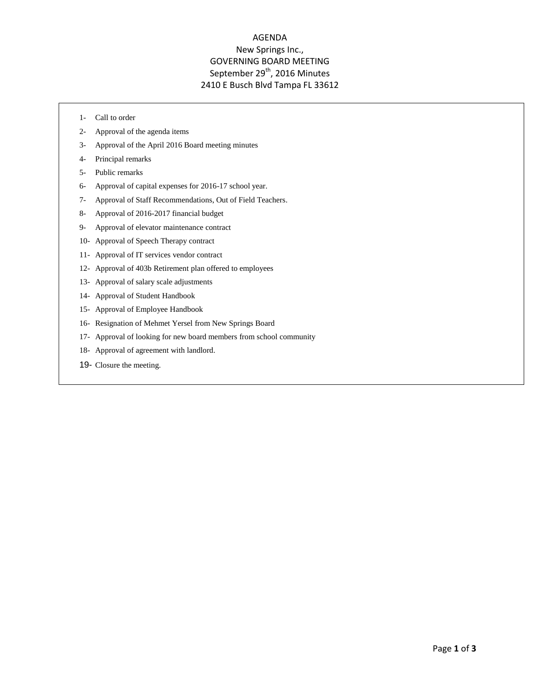# AGENDA New Springs Inc., GOVERNING BOARD MEETING September 29<sup>th</sup>, 2016 Minutes 2410 E Busch Blvd Tampa FL 33612

- 1- Call to order
- 2- Approval of the agenda items
- 3- Approval of the April 2016 Board meeting minutes
- 4- Principal remarks
- 5- Public remarks
- 6- Approval of capital expenses for 2016-17 school year.
- 7- Approval of Staff Recommendations, Out of Field Teachers.
- 8- Approval of 2016-2017 financial budget
- 9- Approval of elevator maintenance contract
- 10- Approval of Speech Therapy contract
- 11- Approval of IT services vendor contract
- 12- Approval of 403b Retirement plan offered to employees
- 13- Approval of salary scale adjustments
- 14- Approval of Student Handbook
- 15- Approval of Employee Handbook
- 16- Resignation of Mehmet Yersel from New Springs Board
- 17- Approval of looking for new board members from school community
- 18- Approval of agreement with landlord.
- 19- Closure the meeting.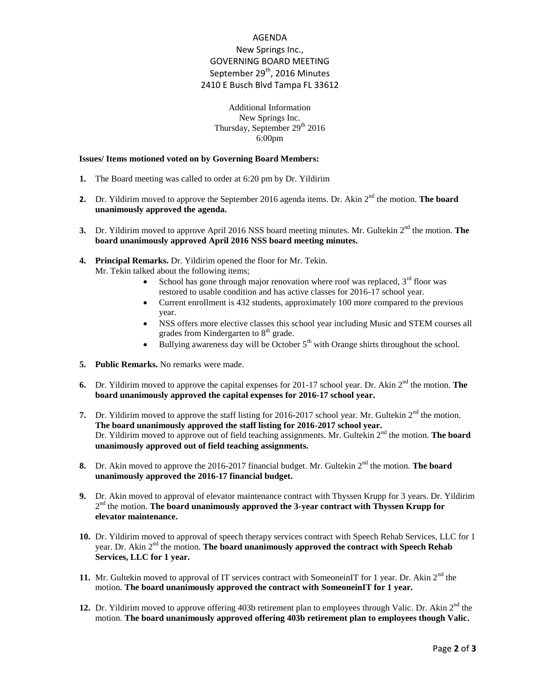# AGENDA New Springs Inc., GOVERNING BOARD MEETING September 29<sup>th</sup>, 2016 Minutes 2410 E Busch Blvd Tampa FL 33612

### Additional Information New Springs Inc. Thursday, September 29<sup>th</sup> 2016 6:00pm

#### **Issues/ Items motioned voted on by Governing Board Members:**

- **1.** The Board meeting was called to order at 6:20 pm by Dr. Yildirim
- **2.** Dr. Yildirim moved to approve the September 2016 agenda items. Dr. Akin 2<sup>nd</sup> the motion. **The board unanimously approved the agenda.**
- **3.** Dr. Yildirim moved to approve April 2016 NSS board meeting minutes. Mr. Gultekin 2<sup>nd</sup> the motion. **The board unanimously approved April 2016 NSS board meeting minutes.**
- **4. Principal Remarks.** Dr. Yildirim opened the floor for Mr. Tekin. Mr. Tekin talked about the following items;
	- School has gone through major renovation where roof was replaced,  $3<sup>rd</sup>$  floor was restored to usable condition and has active classes for 2016-17 school year.
	- Current enrollment is 432 students, approximately 100 more compared to the previous year.
	- NSS offers more elective classes this school year including Music and STEM courses all grades from Kindergarten to  $8<sup>th</sup>$  grade.
	- Bullying awareness day will be October  $5<sup>th</sup>$  with Orange shirts throughout the school.
- **5. Public Remarks.** No remarks were made.
- **6.** Dr. Yildirim moved to approve the capital expenses for 201-17 school year. Dr. Akin 2<sup>nd</sup> the motion. **The board unanimously approved the capital expenses for 2016-17 school year.**
- **7.** Dr. Yildirim moved to approve the staff listing for 2016-2017 school year. Mr. Gultekin 2<sup>nd</sup> the motion. **The board unanimously approved the staff listing for 2016-2017 school year.** Dr. Yildirim moved to approve out of field teaching assignments. Mr. Gultekin 2<sup>nd</sup> the motion. The board **unanimously approved out of field teaching assignments.**
- **8.** Dr. Akin moved to approve the 2016-2017 financial budget. Mr. Gultekin 2<sup>nd</sup> the motion. **The board unanimously approved the 2016-17 financial budget.**
- **9.** Dr. Akin moved to approval of elevator maintenance contract with Thyssen Krupp for 3 years. Dr. Yildirim 2<sup>nd</sup> the motion. **The board unanimously approved the 3-year contract with Thyssen Krupp for elevator maintenance.**
- **10.** Dr. Yildirim moved to approval of speech therapy services contract with Speech Rehab Services, LLC for 1 year. Dr. Akin 2nd the motion. **The board unanimously approved the contract with Speech Rehab Services, LLC for 1 year.**
- **11.** Mr. Gultekin moved to approval of IT services contract with SomeoneinIT for 1 year. Dr. Akin  $2<sup>nd</sup>$  the motion. **The board unanimously approved the contract with SomeoneinIT for 1 year.**
- 12. Dr. Yildirim moved to approve offering 403b retirement plan to employees through Valic. Dr. Akin  $2<sup>nd</sup>$  the motion. **The board unanimously approved offering 403b retirement plan to employees though Valic.**